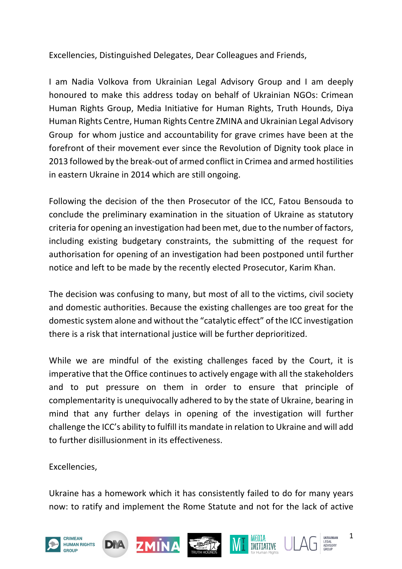Excellencies, Distinguished Delegates, Dear Colleagues and Friends,

I am Nadia Volkova from Ukrainian Legal Advisory Group and I am deeply honoured to make this address today on behalf of Ukrainian NGOs: Crimean Human Rights Group, Media Initiative for Human Rights, Truth Hounds, Diya Human Rights Centre, Human Rights Centre ZMINA and Ukrainian Legal Advisory Group for whom justice and accountability for grave crimes have been at the forefront of their movement ever since the Revolution of Dignity took place in 2013 followed by the break-out of armed conflict in Crimea and armed hostilities in eastern Ukraine in 2014 which are still ongoing.

Following the decision of the then Prosecutor of the ICC, Fatou Bensouda to conclude the preliminary examination in the situation of Ukraine as statutory criteria for opening an investigation had been met, due to the number of factors, including existing budgetary constraints, the submitting of the request for authorisation for opening of an investigation had been postponed until further notice and left to be made by the recently elected Prosecutor, Karim Khan.

The decision was confusing to many, but most of all to the victims, civil society and domestic authorities. Because the existing challenges are too great for the domestic system alone and without the "catalytic effect" of the ICC investigation there is a risk that international justice will be further deprioritized.

While we are mindful of the existing challenges faced by the Court, it is imperative that the Office continues to actively engage with all the stakeholders and to put pressure on them in order to ensure that principle of complementarity is unequivocally adhered to by the state of Ukraine, bearing in mind that any further delays in opening of the investigation will further challenge the ICC's ability to fulfill its mandate in relation to Ukraine and will add to further disillusionment in its effectiveness.

Excellencies,

Ukraine has a homework which it has consistently failed to do for many years now: to ratify and implement the Rome Statute and not for the lack of active